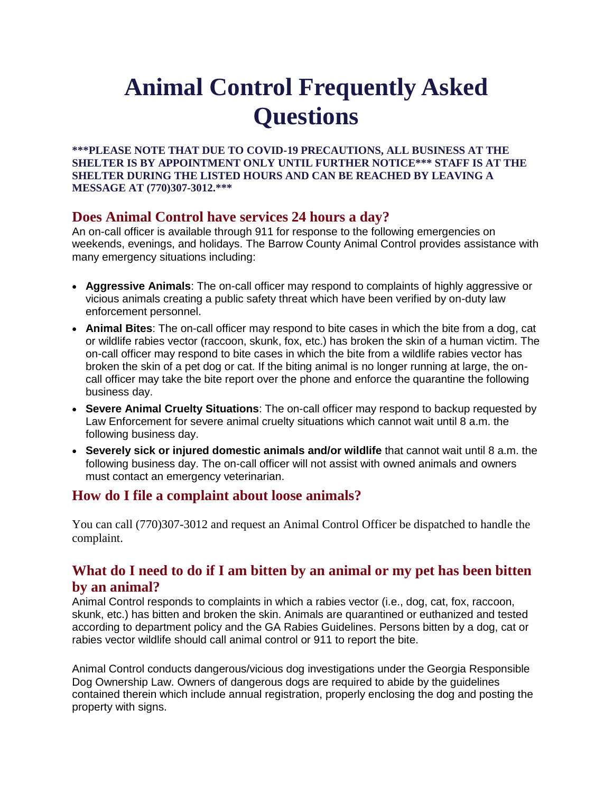# **Animal Control Frequently Asked Questions**

**\*\*\*PLEASE NOTE THAT DUE TO COVID-19 PRECAUTIONS, ALL BUSINESS AT THE SHELTER IS BY APPOINTMENT ONLY UNTIL FURTHER NOTICE\*\*\* STAFF IS AT THE SHELTER DURING THE LISTED HOURS AND CAN BE REACHED BY LEAVING A MESSAGE AT (770)307-3012.\*\*\***

## **Does Animal Control have services 24 hours a day?**

An on-call officer is available through 911 for response to the following emergencies on weekends, evenings, and holidays. The Barrow County Animal Control provides assistance with many emergency situations including:

- **Aggressive Animals**: The on-call officer may respond to complaints of highly aggressive or vicious animals creating a public safety threat which have been verified by on-duty law enforcement personnel.
- **Animal Bites**: The on-call officer may respond to bite cases in which the bite from a dog, cat or wildlife rabies vector (raccoon, skunk, fox, etc.) has broken the skin of a human victim. The on-call officer may respond to bite cases in which the bite from a wildlife rabies vector has broken the skin of a pet dog or cat. If the biting animal is no longer running at large, the oncall officer may take the bite report over the phone and enforce the quarantine the following business day.
- **Severe Animal Cruelty Situations**: The on-call officer may respond to backup requested by Law Enforcement for severe animal cruelty situations which cannot wait until 8 a.m. the following business day.
- **Severely sick or injured domestic animals and/or wildlife** that cannot wait until 8 a.m. the following business day. The on-call officer will not assist with owned animals and owners must contact an emergency veterinarian.

## **How do I file a complaint about loose animals?**

You can call (770)307-3012 and request an Animal Control Officer be dispatched to handle the complaint.

## **What do I need to do if I am bitten by an animal or my pet has been bitten by an animal?**

Animal Control responds to complaints in which a rabies vector (i.e., dog, cat, fox, raccoon, skunk, etc.) has bitten and broken the skin. Animals are quarantined or euthanized and tested according to department policy and the GA Rabies Guidelines. Persons bitten by a dog, cat or rabies vector wildlife should call animal control or 911 to report the bite.

Animal Control conducts dangerous/vicious dog investigations under the Georgia Responsible Dog Ownership Law. Owners of dangerous dogs are required to abide by the guidelines contained therein which include annual registration, properly enclosing the dog and posting the property with signs.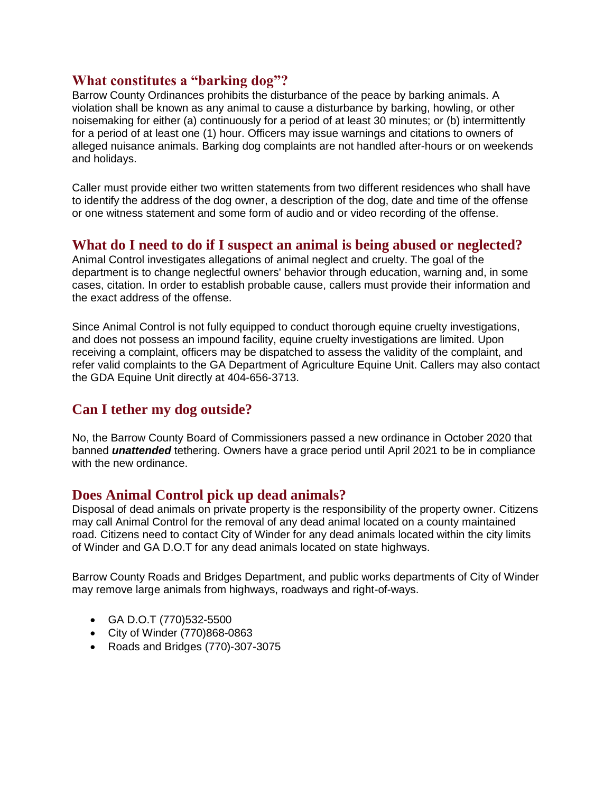#### **What constitutes a "barking dog"?**

Barrow County Ordinances prohibits the disturbance of the peace by barking animals. A violation shall be known as any animal to cause a disturbance by barking, howling, or other noisemaking for either (a) continuously for a period of at least 30 minutes; or (b) intermittently for a period of at least one (1) hour. Officers may issue warnings and citations to owners of alleged nuisance animals. Barking dog complaints are not handled after-hours or on weekends and holidays.

Caller must provide either two written statements from two different residences who shall have to identify the address of the dog owner, a description of the dog, date and time of the offense or one witness statement and some form of audio and or video recording of the offense.

#### **What do I need to do if I suspect an animal is being abused or neglected?**

Animal Control investigates allegations of animal neglect and cruelty. The goal of the department is to change neglectful owners' behavior through education, warning and, in some cases, citation. In order to establish probable cause, callers must provide their information and the exact address of the offense.

Since Animal Control is not fully equipped to conduct thorough equine cruelty investigations, and does not possess an impound facility, equine cruelty investigations are limited. Upon receiving a complaint, officers may be dispatched to assess the validity of the complaint, and refer valid complaints to the GA Department of Agriculture Equine Unit. Callers may also contact the GDA Equine Unit directly at 404-656-3713.

## **Can I tether my dog outside?**

No, the Barrow County Board of Commissioners passed a new ordinance in October 2020 that banned *unattended* tethering. Owners have a grace period until April 2021 to be in compliance with the new ordinance.

#### **Does Animal Control pick up dead animals?**

Disposal of dead animals on private property is the responsibility of the property owner. Citizens may call Animal Control for the removal of any dead animal located on a county maintained road. Citizens need to contact City of Winder for any dead animals located within the city limits of Winder and GA D.O.T for any dead animals located on state highways.

Barrow County Roads and Bridges Department, and public works departments of City of Winder may remove large animals from highways, roadways and right-of-ways.

- GA D.O.T (770)532-5500
- City of Winder (770)868-0863
- Roads and Bridges (770)-307-3075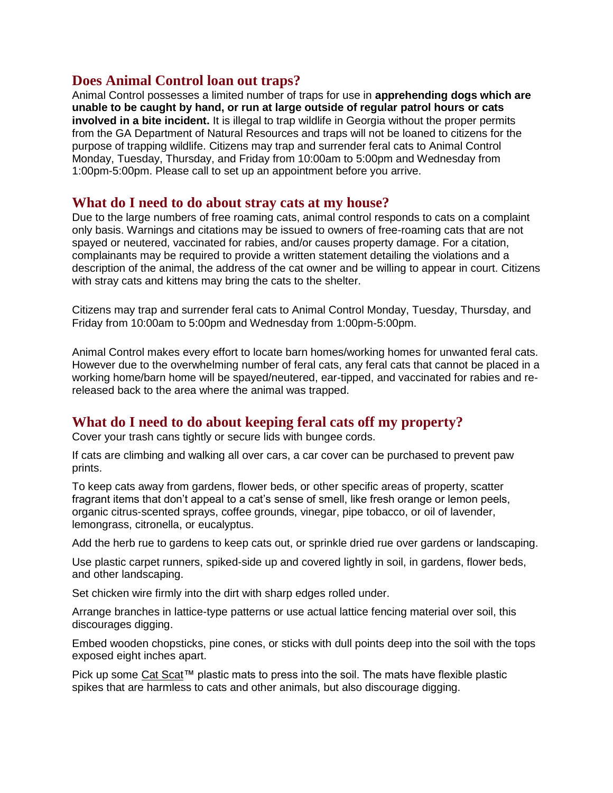#### **Does Animal Control loan out traps?**

Animal Control possesses a limited number of traps for use in **apprehending dogs which are unable to be caught by hand, or run at large outside of regular patrol hours or cats involved in a bite incident.** It is illegal to trap wildlife in Georgia without the proper permits from the GA Department of Natural Resources and traps will not be loaned to citizens for the purpose of trapping wildlife. Citizens may trap and surrender feral cats to Animal Control Monday, Tuesday, Thursday, and Friday from 10:00am to 5:00pm and Wednesday from 1:00pm-5:00pm. Please call to set up an appointment before you arrive.

#### **What do I need to do about stray cats at my house?**

Due to the large numbers of free roaming cats, animal control responds to cats on a complaint only basis. Warnings and citations may be issued to owners of free-roaming cats that are not spayed or neutered, vaccinated for rabies, and/or causes property damage. For a citation, complainants may be required to provide a written statement detailing the violations and a description of the animal, the address of the cat owner and be willing to appear in court. Citizens with stray cats and kittens may bring the cats to the shelter.

Citizens may trap and surrender feral cats to Animal Control Monday, Tuesday, Thursday, and Friday from 10:00am to 5:00pm and Wednesday from 1:00pm-5:00pm.

Animal Control makes every effort to locate barn homes/working homes for unwanted feral cats. However due to the overwhelming number of feral cats, any feral cats that cannot be placed in a working home/barn home will be spayed/neutered, ear-tipped, and vaccinated for rabies and rereleased back to the area where the animal was trapped.

## **What do I need to do about keeping feral cats off my property?**

Cover your trash cans tightly or secure lids with bungee cords.

If cats are climbing and walking all over cars, a car cover can be purchased to prevent paw prints.

To keep cats away from gardens, flower beds, or other specific areas of property, scatter fragrant items that don't appeal to a cat's sense of smell, like fresh orange or lemon peels, organic citrus-scented sprays, coffee grounds, vinegar, pipe tobacco, or oil of lavender, lemongrass, citronella, or eucalyptus.

Add the herb rue to gardens to keep cats out, or sprinkle dried rue over gardens or landscaping.

Use plastic carpet runners, spiked-side up and covered lightly in soil, in gardens, flower beds, and other landscaping.

Set chicken wire firmly into the dirt with sharp edges rolled under.

Arrange branches in lattice-type patterns or use actual lattice fencing material over soil, this discourages digging.

Embed wooden chopsticks, pine cones, or sticks with dull points deep into the soil with the tops exposed eight inches apart.

Pick up some [Cat Scat™](http://www.gardeners.com/buy/safe-cat-deterrent/31-954.html) plastic mats to press into the soil. The mats have flexible plastic spikes that are harmless to cats and other animals, but also discourage digging.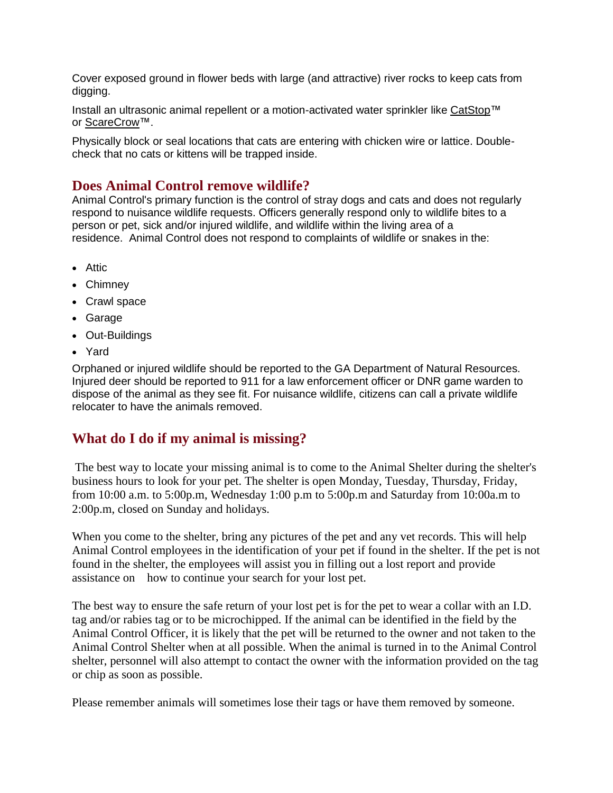Cover exposed ground in flower beds with large (and attractive) river rocks to keep cats from digging.

Install an ultrasonic animal repellent or a motion-activated water sprinkler like [CatStop™](https://www.amazon.com/s/?ie=UTF8&keywords=catstop+ultrasonic+cat+deterrent&tag=googhydr-20&index=aps&hvadid=178664361562&hvpos=1t1&hvnetw=g&hvrand=15303783193900632145&hvpone=&hvptwo=&hvqmt=b&hvdev=c&hvdvcmdl=&hvlocint=&hvlocphy=9007767&hvtargid=kwd-1149423079&ref=pd_sl_4epf6fiqvw_b) or [ScareCrow™](https://www.amazon.com/s/?ie=UTF8&keywords=scarecrow+water+sprinkler&tag=googhydr-20&index=aps&hvadid=176964741292&hvpos=1t1&hvnetw=g&hvrand=8935694406593868405&hvpone=&hvptwo=&hvqmt=b&hvdev=c&hvdvcmdl=&hvlocint=&hvlocphy=9007767&hvtargid=kwd-95409830&ref=pd_sl_6ge8s9hj69_b).

Physically block or seal locations that cats are entering with chicken wire or lattice. Doublecheck that no cats or kittens will be trapped inside.

#### **Does Animal Control remove wildlife?**

Animal Control's primary function is the control of stray dogs and cats and does not regularly respond to nuisance wildlife requests. Officers generally respond only to wildlife bites to a person or pet, sick and/or injured wildlife, and wildlife within the living area of a residence. Animal Control does not respond to complaints of wildlife or snakes in the:

- Attic
- Chimney
- Crawl space
- Garage
- Out-Buildings
- Yard

Orphaned or injured wildlife should be reported to the GA Department of Natural Resources. Injured deer should be reported to 911 for a law enforcement officer or DNR game warden to dispose of the animal as they see fit. For nuisance wildlife, citizens can call a private wildlife relocater to have the animals removed.

## **What do I do if my animal is missing?**

The best way to locate your missing animal is to come to the Animal Shelter during the shelter's business hours to look for your pet. The shelter is open Monday, Tuesday, Thursday, Friday, from 10:00 a.m. to 5:00p.m, Wednesday 1:00 p.m to 5:00p.m and Saturday from 10:00a.m to 2:00p.m, closed on Sunday and holidays.

When you come to the shelter, bring any pictures of the pet and any vet records. This will help Animal Control employees in the identification of your pet if found in the shelter. If the pet is not found in the shelter, the employees will assist you in filling out a lost report and provide assistance on how to continue your search for your lost pet.

The best way to ensure the safe return of your lost pet is for the pet to wear a collar with an I.D. tag and/or rabies tag or to be microchipped. If the animal can be identified in the field by the Animal Control Officer, it is likely that the pet will be returned to the owner and not taken to the Animal Control Shelter when at all possible. When the animal is turned in to the Animal Control shelter, personnel will also attempt to contact the owner with the information provided on the tag or chip as soon as possible.

Please remember animals will sometimes lose their tags or have them removed by someone.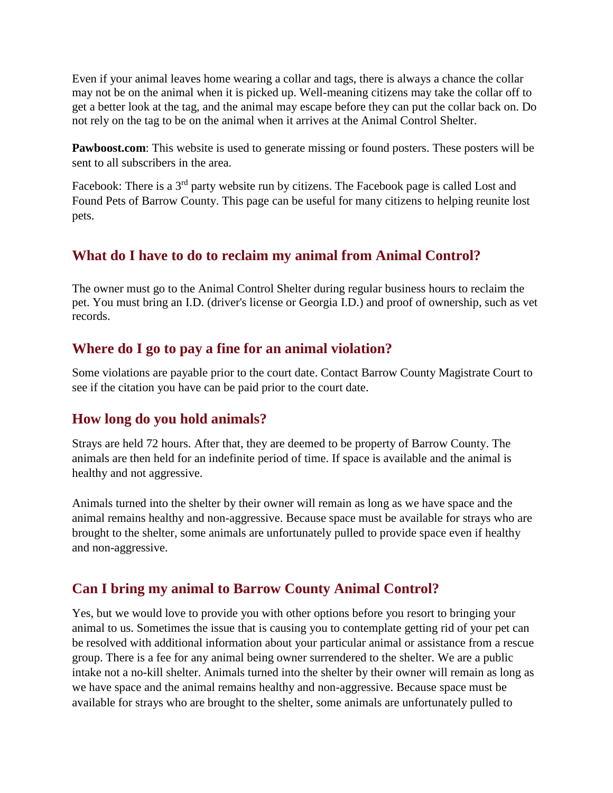Even if your animal leaves home wearing a collar and tags, there is always a chance the collar may not be on the animal when it is picked up. Well-meaning citizens may take the collar off to get a better look at the tag, and the animal may escape before they can put the collar back on. Do not rely on the tag to be on the animal when it arrives at the Animal Control Shelter.

**Pawboost.com**: This website is used to generate missing or found posters. These posters will be sent to all subscribers in the area.

Facebook: There is a 3<sup>rd</sup> party website run by citizens. The Facebook page is called Lost and Found Pets of Barrow County. This page can be useful for many citizens to helping reunite lost pets.

# **What do I have to do to reclaim my animal from Animal Control?**

The owner must go to the Animal Control Shelter during regular business hours to reclaim the pet. You must bring an I.D. (driver's license or Georgia I.D.) and proof of ownership, such as vet records.

# **Where do I go to pay a fine for an animal violation?**

Some violations are payable prior to the court date. Contact Barrow County Magistrate Court to see if the citation you have can be paid prior to the court date.

# **How long do you hold animals?**

Strays are held 72 hours. After that, they are deemed to be property of Barrow County. The animals are then held for an indefinite period of time. If space is available and the animal is healthy and not aggressive.

Animals turned into the shelter by their owner will remain as long as we have space and the animal remains healthy and non-aggressive. Because space must be available for strays who are brought to the shelter, some animals are unfortunately pulled to provide space even if healthy and non-aggressive.

# **Can I bring my animal to Barrow County Animal Control?**

Yes, but we would love to provide you with other options before you resort to bringing your animal to us. Sometimes the issue that is causing you to contemplate getting rid of your pet can be resolved with additional information about your particular animal or assistance from a rescue group. There is a fee for any animal being owner surrendered to the shelter. We are a public intake not a no-kill shelter. Animals turned into the shelter by their owner will remain as long as we have space and the animal remains healthy and non-aggressive. Because space must be available for strays who are brought to the shelter, some animals are unfortunately pulled to